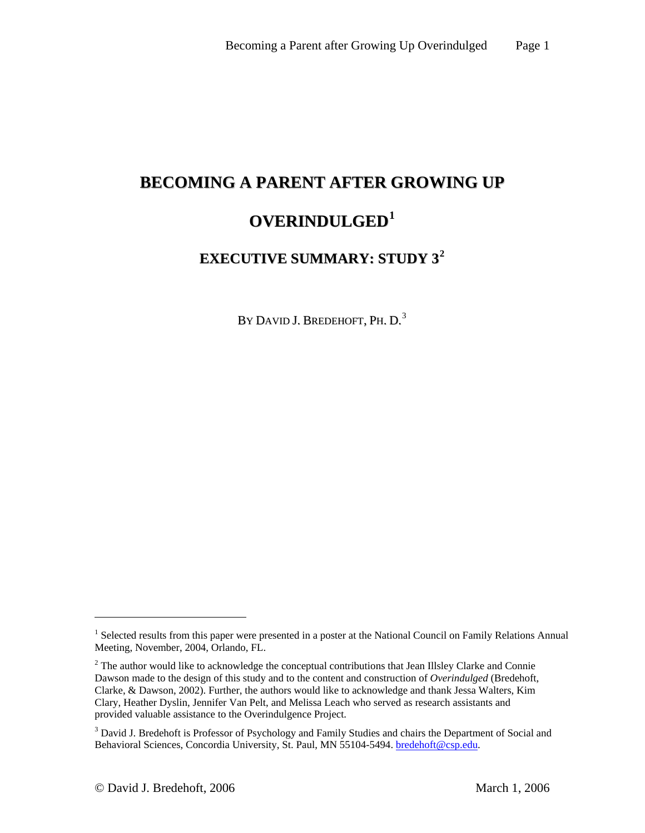# **BECOMING A PARENT AFTER GROWING UP OVERINDULGED[1](#page-0-0)**

# **EXECUTIVE SUMMARY: STUDY 3[2](#page-0-1)**

By David J. Bredehoft, Ph. D.<sup>[3](#page-0-2)</sup>

 $\overline{a}$ 

<span id="page-0-0"></span><sup>&</sup>lt;sup>1</sup> Selected results from this paper were presented in a poster at the National Council on Family Relations Annual Meeting, November, 2004, Orlando, FL.

<span id="page-0-1"></span> $2$  The author would like to acknowledge the conceptual contributions that Jean Illsley Clarke and Connie Dawson made to the design of this study and to the content and construction of *Overindulged* (Bredehoft, Clarke, & Dawson, 2002). Further, the authors would like to acknowledge and thank Jessa Walters, Kim Clary, Heather Dyslin, Jennifer Van Pelt, and Melissa Leach who served as research assistants and provided valuable assistance to the Overindulgence Project.

<span id="page-0-2"></span><sup>&</sup>lt;sup>3</sup> David J. Bredehoft is Professor of Psychology and Family Studies and chairs the Department of Social and Behavioral Sciences, Concordia University, St. Paul, MN 55104-5494. [bredehoft@csp.edu.](mailto:bredehoft@csp.edu)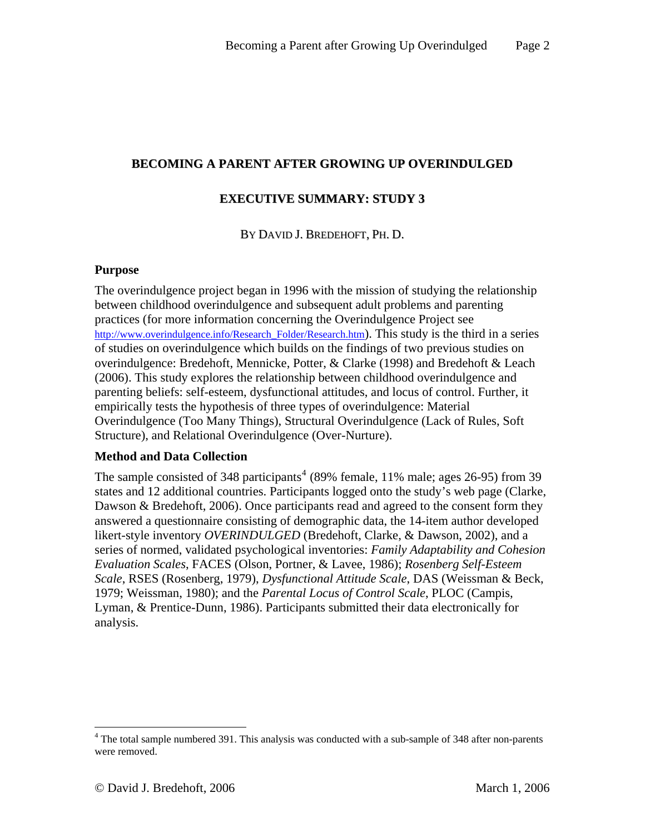# **BECOMING A PARENT AFTER GROWING UP OVERINDULGED**

## **EXECUTIVE SUMMARY: STUDY 3**

BY DAVID J. BREDEHOFT, PH. D.

#### **Purpose**

The overindulgence project began in 1996 with the mission of studying the relationship between childhood overindulgence and subsequent adult problems and parenting practices (for more information concerning the Overindulgence Project see [http://www.overindulgence.info/Research\\_Folder/Research.htm](http://www.overindulgence.info/Research_Folder/Research.htm)). This study is the third in a series of studies on overindulgence which builds on the findings of two previous studies on overindulgence: Bredehoft, Mennicke, Potter, & Clarke (1998) and Bredehoft & Leach (2006). This study explores the relationship between childhood overindulgence and parenting beliefs: self-esteem, dysfunctional attitudes, and locus of control. Further, it empirically tests the hypothesis of three types of overindulgence: Material Overindulgence (Too Many Things), Structural Overindulgence (Lack of Rules, Soft Structure), and Relational Overindulgence (Over-Nurture).

#### **Method and Data Collection**

The sample consisted of 3[4](#page-1-0)8 participants<sup>4</sup> (89% female, 11% male; ages 26-95) from 39 states and 12 additional countries. Participants logged onto the study's web page (Clarke, Dawson & Bredehoft, 2006). Once participants read and agreed to the consent form they answered a questionnaire consisting of demographic data, the 14-item author developed likert-style inventory *OVERINDULGED* (Bredehoft, Clarke, & Dawson, 2002), and a series of normed, validated psychological inventories: *Family Adaptability and Cohesion Evaluation Scales*, FACES (Olson, Portner, & Lavee, 1986); *Rosenberg Self-Esteem Scale*, RSES (Rosenberg, 1979), *Dysfunctional Attitude Scale*, DAS (Weissman & Beck, 1979; Weissman, 1980); and the *Parental Locus of Control Scale*, PLOC (Campis, Lyman, & Prentice-Dunn, 1986). Participants submitted their data electronically for analysis.

 $\overline{a}$ 

<span id="page-1-0"></span><sup>&</sup>lt;sup>4</sup> The total sample numbered 391. This analysis was conducted with a sub-sample of 348 after non-parents were removed.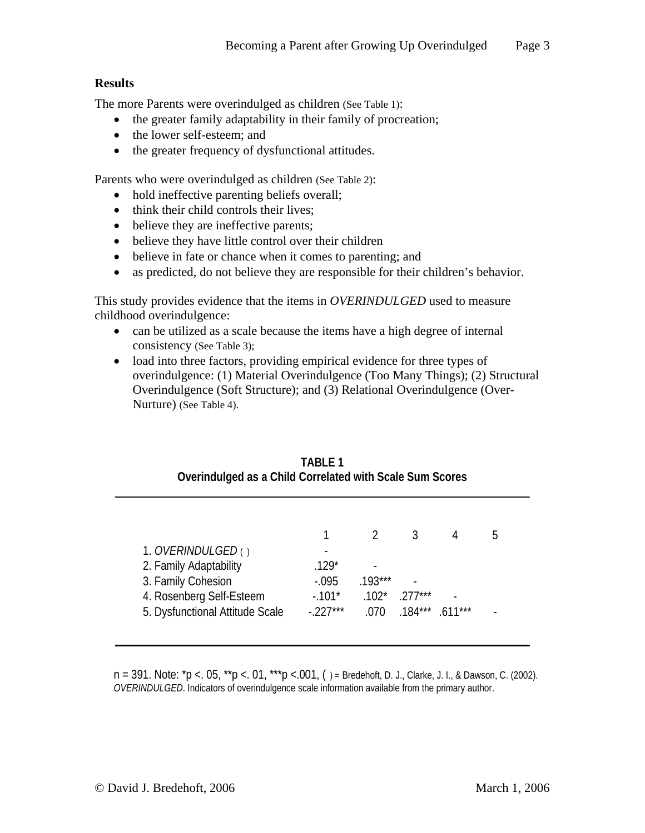## **Results**

The more Parents were overindulged as children (See Table 1):

- the greater family adaptability in their family of procreation;
- the lower self-esteem; and
- the greater frequency of dysfunctional attitudes.

Parents who were overindulged as children (See Table 2):

- hold ineffective parenting beliefs overall;
- think their child controls their lives;
- believe they are ineffective parents;
- believe they have little control over their children
- believe in fate or chance when it comes to parenting; and
- as predicted, do not believe they are responsible for their children's behavior.

This study provides evidence that the items in *OVERINDULGED* used to measure childhood overindulgence:

- can be utilized as a scale because the items have a high degree of internal consistency (See Table 3);
- load into three factors, providing empirical evidence for three types of overindulgence: (1) Material Overindulgence (Too Many Things); (2) Structural Overindulgence (Soft Structure); and (3) Relational Overindulgence (Over-Nurture) (See Table 4).

|                                 |            |           |           |          | h |  |
|---------------------------------|------------|-----------|-----------|----------|---|--|
| 1. <i>OVERINDULGED</i> ()       |            |           |           |          |   |  |
| 2. Family Adaptability          | $.129*$    |           |           |          |   |  |
| 3. Family Cohesion              | $-0.095$   | $.193***$ |           |          |   |  |
| 4. Rosenberg Self-Esteem        | $-101*$    | $.102*$   | $.277***$ |          |   |  |
| 5. Dysfunctional Attitude Scale | $-.227***$ | .070      | $.184***$ | $611***$ |   |  |

### **TABLE 1 Overindulged as a Child Correlated with Scale Sum Scores**

n = 391. Note: \*p <. 05, \*\*p <. 01, \*\*\*p <.001, () = Bredehoft, D. J., Clarke, J. I., & Dawson, C. (2002). *OVERINDULGED*. Indicators of overindulgence scale information available from the primary author.

**\_\_\_\_\_\_\_\_\_\_\_\_\_\_\_\_\_\_\_\_\_\_\_\_\_\_\_\_\_\_\_\_\_\_\_\_\_\_\_\_\_\_\_\_\_\_\_\_\_\_\_\_\_\_\_\_\_\_\_\_\_\_\_\_\_\_\_\_\_\_\_\_**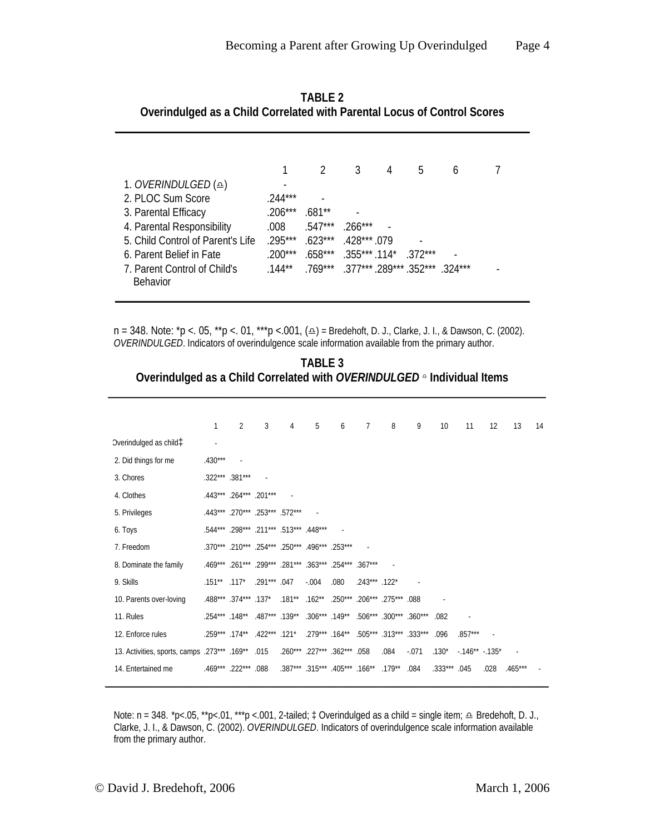|                                        |           |                                      | 3                      | 4 | 5 | 6 |  |
|----------------------------------------|-----------|--------------------------------------|------------------------|---|---|---|--|
| 1. <i>OVERINDULGED</i> ( $\triangle$ ) |           |                                      |                        |   |   |   |  |
| 2. PLOC Sum Score                      | $.244***$ |                                      |                        |   |   |   |  |
| 3. Parental Efficacy                   | $.206***$ | .681**                               |                        |   |   |   |  |
| 4. Parental Responsibility             | .008.     | $.547***$                            | $.266***$              |   |   |   |  |
| 5. Child Control of Parent's Life      | 295***    | $623***$                             | 428*** 079             |   |   |   |  |
| 6. Parent Belief in Fate               | $.200***$ | $.658***$                            | $.355***.114*$ .372*** |   |   |   |  |
| 7. Parent Control of Child's           | $.144***$ | $769***$ 377*** 289*** 352*** 324*** |                        |   |   |   |  |
| <b>Behavior</b>                        |           |                                      |                        |   |   |   |  |
|                                        |           |                                      |                        |   |   |   |  |

**TABLE 2 Overindulged as a Child Correlated with Parental Locus of Control Scores** 

**\_\_\_\_\_\_\_\_\_\_\_\_\_\_\_\_\_\_\_\_\_\_\_\_\_\_\_\_\_\_\_\_\_\_\_\_\_\_\_\_\_\_\_\_\_\_\_\_\_\_\_\_\_\_\_\_\_\_\_\_\_\_\_\_\_\_\_\_\_\_\_\_**

 $n = 348$ . Note:  $\sp{\star}$ p <. 05,  $\sp{\star}$ \*p <. 01,  $\sp{\star}$ \*p <.001,  $\left(\triangleq\right)$  = Bredehoft, D. J., Clarke, J. I., & Dawson, C. (2002). *OVERINDULGED*. Indicators of overindulgence scale information available from the primary author.

**TABLE 3 Overindulged as a Child Correlated with** *OVERINDULGED* **<sup>△</sup> Individual Items** 

**\_\_\_\_\_\_\_\_\_\_\_\_\_\_\_\_\_\_\_\_\_\_\_\_\_\_\_\_\_\_\_\_\_\_\_\_\_\_\_\_\_\_\_\_\_\_\_\_\_\_\_\_\_\_\_\_\_\_\_\_\_\_\_\_\_\_\_\_\_\_\_\_\_\_\_\_**

|                                                   | 1                 | $\mathfrak{D}$                                          | 3              | 4 | 5                            | 6    | 7                                                                    | 8    | 9       | 10 <sup>1</sup> | 11             | 12   | 13        | 14 |
|---------------------------------------------------|-------------------|---------------------------------------------------------|----------------|---|------------------------------|------|----------------------------------------------------------------------|------|---------|-----------------|----------------|------|-----------|----|
| Dverindulged as child <sup>1</sup>                |                   |                                                         |                |   |                              |      |                                                                      |      |         |                 |                |      |           |    |
| 2. Did things for me                              | $.430***$         | $\sim$                                                  |                |   |                              |      |                                                                      |      |         |                 |                |      |           |    |
| 3. Chores                                         |                   | .322*** .381***                                         |                |   |                              |      |                                                                      |      |         |                 |                |      |           |    |
| 4. Clothes                                        |                   | .443*** .264*** .201***                                 |                |   |                              |      |                                                                      |      |         |                 |                |      |           |    |
| 5. Privileges                                     |                   | .443*** .270*** .253*** .572***                         |                |   |                              |      |                                                                      |      |         |                 |                |      |           |    |
| 6. Toys                                           |                   | .544*** .298*** .211*** .513*** .448***                 |                |   |                              |      |                                                                      |      |         |                 |                |      |           |    |
| 7. Freedom                                        |                   | .370*** .210*** .254*** .250*** .496*** .253***         |                |   |                              |      | $\sim$ $-$                                                           |      |         |                 |                |      |           |    |
| 8. Dominate the family                            |                   | .469*** .261*** .299*** .281*** .363*** .254*** .367*** |                |   |                              |      |                                                                      |      |         |                 |                |      |           |    |
| 9. Skills                                         | $.151***$ $.117*$ |                                                         | $.291***$ .047 |   | $-.004$                      | .080 | $.243***$ .122*                                                      |      |         |                 |                |      |           |    |
| 10. Parents over-loving                           |                   | .488*** .374*** .137*                                   |                |   |                              |      | .181** .162** .250*** .206*** .275*** .088                           |      |         |                 |                |      |           |    |
| 11. Rules                                         |                   |                                                         |                |   |                              |      | .254*** .148** .487*** .139** .306*** .149** .506*** .300*** .360*** |      |         | .082            |                |      |           |    |
| 12. Enforce rules                                 |                   | .121* .422*** .174** .422.                              |                |   |                              |      | .279*** .164** .505*** .313*** .333***                               |      |         | .096            | $.857***$      |      |           |    |
| 13. Activities, sports, camps .273*** .169** .015 |                   |                                                         |                |   | .260*** .227*** .362*** .058 |      |                                                                      | .084 | $-.071$ | $.130*$         | $-146** -135*$ |      |           |    |
| 14. Entertained me                                |                   | .469*** .222*** .088                                    |                |   |                              |      | .387*** .315*** .405*** .166** .179**                                |      | .084    | $.333***$ .045  |                | .028 | $.465***$ |    |

Note: n = 348. \*p<.05, \*\*p<.01, \*\*\*p <.001, 2-tailed; ‡ Overindulged as a child = single item; ≏ Bredehoft, D. J., Clarke, J. I., & Dawson, C. (2002). *OVERINDULGED*. Indicators of overindulgence scale information available from the primary author.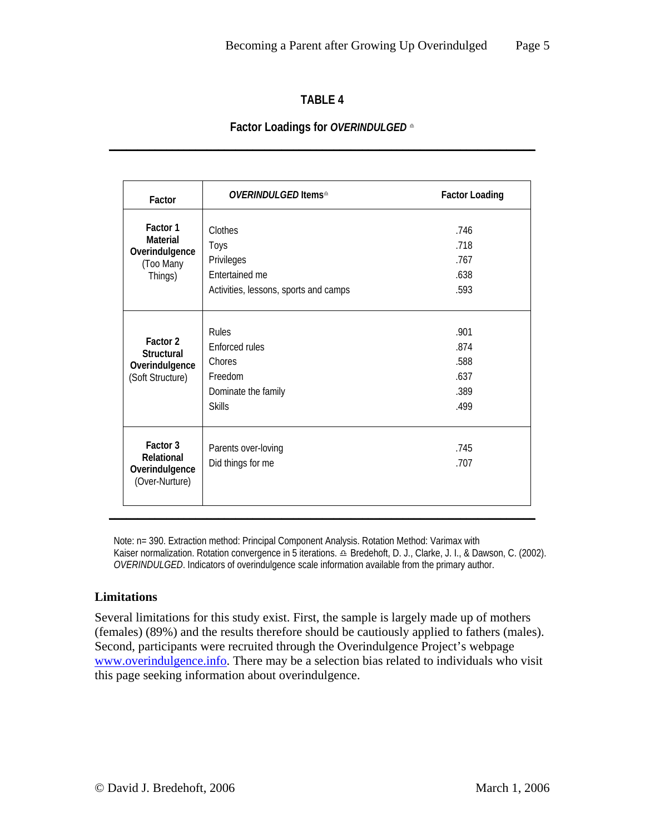# **TABLE 4**

# **Factor Loadings for** *OVERINDULGED* <sup>K</sup> **\_\_\_\_\_\_\_\_\_\_\_\_\_\_\_\_\_\_\_\_\_\_\_\_\_\_\_\_\_\_\_\_\_\_\_\_\_\_\_\_\_\_\_\_\_\_\_\_\_\_\_\_\_\_\_\_\_\_\_\_\_\_\_\_\_\_\_\_\_\_\_\_\_\_**

| Factor                           | <i>OVERINDULGED</i> Items <sup></sup> <sup>≏</sup> | <b>Factor Loading</b> |
|----------------------------------|----------------------------------------------------|-----------------------|
| Factor 1                         | Clothes                                            | .746                  |
| Material                         | Toys                                               | .718                  |
| Overindulgence<br>(Too Many      | Privileges                                         | .767                  |
| Things)                          | Entertained me                                     | .638                  |
|                                  | Activities, lessons, sports and camps              | .593                  |
|                                  | <b>Rules</b>                                       | .901                  |
| Factor 2                         | Enforced rules                                     | .874                  |
| Structural<br>Overindulgence     | Chores                                             | .588                  |
| (Soft Structure)                 | Freedom                                            | .637                  |
|                                  | Dominate the family                                | .389                  |
|                                  | <b>Skills</b>                                      | .499                  |
| Factor 3                         | Parents over-loving                                | .745                  |
| Relational                       | Did things for me                                  | .707                  |
| Overindulgence<br>(Over-Nurture) |                                                    |                       |

Note: n= 390. Extraction method: Principal Component Analysis. Rotation Method: Varimax with Kaiser normalization. Rotation convergence in 5 iterations.  $\triangle$  Bredehoft, D. J., Clarke, J. I., & Dawson, C. (2002). *OVERINDULGED*. Indicators of overindulgence scale information available from the primary author.

# **Limitations**

Several limitations for this study exist. First, the sample is largely made up of mothers (females) (89%) and the results therefore should be cautiously applied to fathers (males). Second, participants were recruited through the Overindulgence Project's webpage [www.overindulgence.info](http://www.overindulgence.info/). There may be a selection bias related to individuals who visit this page seeking information about overindulgence.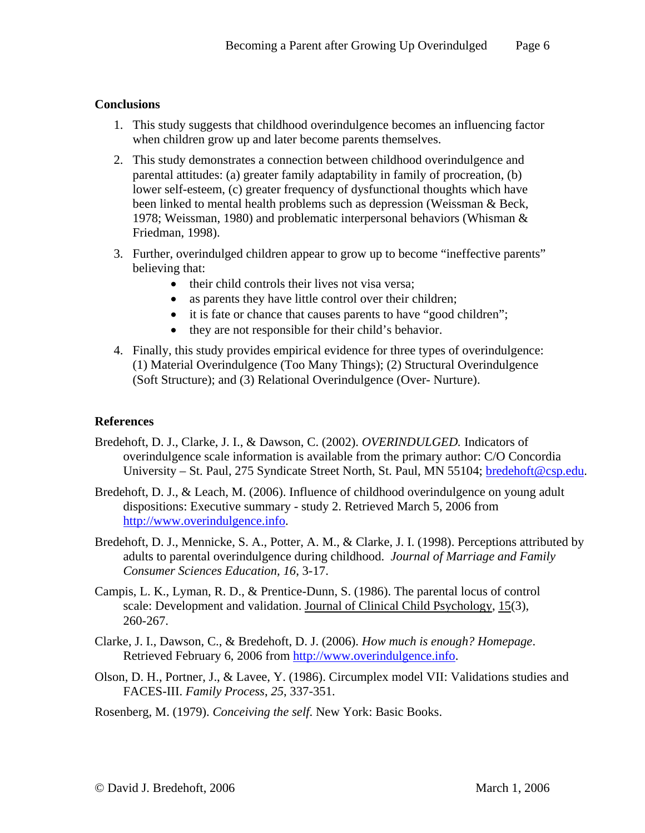# **Conclusions**

- 1. This study suggests that childhood overindulgence becomes an influencing factor when children grow up and later become parents themselves.
- 2. This study demonstrates a connection between childhood overindulgence and parental attitudes: (a) greater family adaptability in family of procreation, (b) lower self-esteem, (c) greater frequency of dysfunctional thoughts which have been linked to mental health problems such as depression (Weissman & Beck, 1978; Weissman, 1980) and problematic interpersonal behaviors (Whisman & Friedman, 1998).
- 3. Further, overindulged children appear to grow up to become "ineffective parents" believing that:
	- their child controls their lives not visa versa;
	- as parents they have little control over their children;
	- it is fate or chance that causes parents to have "good children";
	- they are not responsible for their child's behavior.
- 4. Finally, this study provides empirical evidence for three types of overindulgence: (1) Material Overindulgence (Too Many Things); (2) Structural Overindulgence (Soft Structure); and (3) Relational Overindulgence (Over- Nurture).

# **References**

- Bredehoft, D. J., Clarke, J. I., & Dawson, C. (2002). *OVERINDULGED.* Indicators of overindulgence scale information is available from the primary author: C/O Concordia University – St. Paul, 275 Syndicate Street North, St. Paul, MN 55104; [bredehoft@csp.edu.](mailto:bredehoft@csp.edu)
- Bredehoft, D. J., & Leach, M. (2006). Influence of childhood overindulgence on young adult dispositions: Executive summary - study 2. Retrieved March 5, 2006 from [http://www.overindulgence.info.](http://www.overindulgence.info/)
- Bredehoft, D. J., Mennicke, S. A., Potter, A. M., & Clarke, J. I. (1998). Perceptions attributed by adults to parental overindulgence during childhood. *Journal of Marriage and Family Consumer Sciences Education, 16*, 3-17.
- Campis, L. K., Lyman, R. D., & Prentice-Dunn, S. (1986). The parental locus of control scale: Development and validation. Journal of Clinical Child Psychology, 15(3), 260-267.
- Clarke, J. I., Dawson, C., & Bredehoft, D. J. (2006). *How much is enough? Homepage*. Retrieved February 6, 2006 from [http://www.overindulgence.info](http://www.overindulgence.info/).
- Olson, D. H., Portner, J., & Lavee, Y. (1986). Circumplex model VII: Validations studies and FACES-III. *Family Process*, *25*, 337-351.
- Rosenberg, M. (1979). *Conceiving the self*. New York: Basic Books.